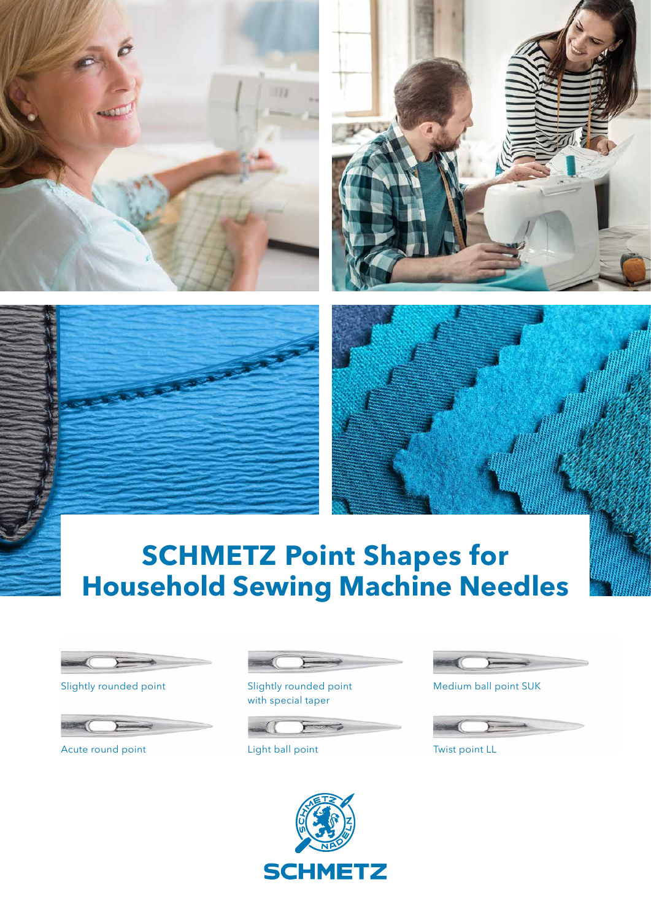







# **SCHMETZ Point Shapes for Household Sewing Machine Needles**



Slightly rounded point



Acute round point



Slightly rounded point with special taper



Light ball point



Medium ball point SUK



Twist point LL